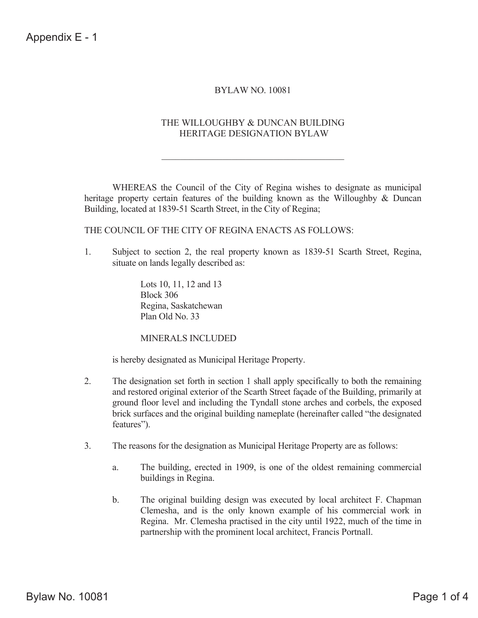# BYLAW NO. 10081

### THE WILLOUGHBY & DUNCAN BUILDING HERITAGE DESIGNATION BYLAW

 WHEREAS the Council of the City of Regina wishes to designate as municipal heritage property certain features of the building known as the Willoughby & Duncan Building, located at 1839-51 Scarth Street, in the City of Regina;

THE COUNCIL OF THE CITY OF REGINA ENACTS AS FOLLOWS:

1. Subject to section 2, the real property known as 1839-51 Scarth Street, Regina, situate on lands legally described as:

> Lots 10, 11, 12 and 13 Block 306 Regina, Saskatchewan Plan Old No. 33

#### MINERALS INCLUDED

is hereby designated as Municipal Heritage Property.

- 2. The designation set forth in section 1 shall apply specifically to both the remaining and restored original exterior of the Scarth Street façade of the Building, primarily at ground floor level and including the Tyndall stone arches and corbels, the exposed brick surfaces and the original building nameplate (hereinafter called "the designated features").
- 3. The reasons for the designation as Municipal Heritage Property are as follows:
	- a. The building, erected in 1909, is one of the oldest remaining commercial buildings in Regina.
	- b. The original building design was executed by local architect F. Chapman Clemesha, and is the only known example of his commercial work in Regina. Mr. Clemesha practised in the city until 1922, much of the time in partnership with the prominent local architect, Francis Portnall.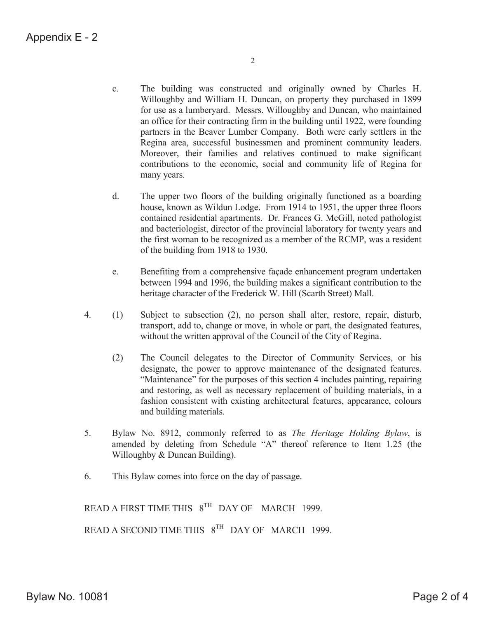- c. The building was constructed and originally owned by Charles H. Willoughby and William H. Duncan, on property they purchased in 1899 for use as a lumberyard. Messrs. Willoughby and Duncan, who maintained an office for their contracting firm in the building until 1922, were founding partners in the Beaver Lumber Company. Both were early settlers in the Regina area, successful businessmen and prominent community leaders. Moreover, their families and relatives continued to make significant contributions to the economic, social and community life of Regina for many years.
- d. The upper two floors of the building originally functioned as a boarding house, known as Wildun Lodge. From 1914 to 1951, the upper three floors contained residential apartments. Dr. Frances G. McGill, noted pathologist and bacteriologist, director of the provincial laboratory for twenty years and the first woman to be recognized as a member of the RCMP, was a resident of the building from 1918 to 1930.
- e. Benefiting from a comprehensive façade enhancement program undertaken between 1994 and 1996, the building makes a significant contribution to the heritage character of the Frederick W. Hill (Scarth Street) Mall.
- 4. (1) Subject to subsection (2), no person shall alter, restore, repair, disturb, transport, add to, change or move, in whole or part, the designated features, without the written approval of the Council of the City of Regina.
	- (2) The Council delegates to the Director of Community Services, or his designate, the power to approve maintenance of the designated features. "Maintenance" for the purposes of this section 4 includes painting, repairing and restoring, as well as necessary replacement of building materials, in a fashion consistent with existing architectural features, appearance, colours and building materials.
- 5. Bylaw No. 8912, commonly referred to as *The Heritage Holding Bylaw*, is amended by deleting from Schedule "A" thereof reference to Item 1.25 (the Willoughby & Duncan Building).
- 6. This Bylaw comes into force on the day of passage.

READ A FIRST TIME THIS 8<sup>TH</sup> DAY OF MARCH 1999. READ A SECOND TIME THIS  $8^{TH}$  DAY OF MARCH 1999.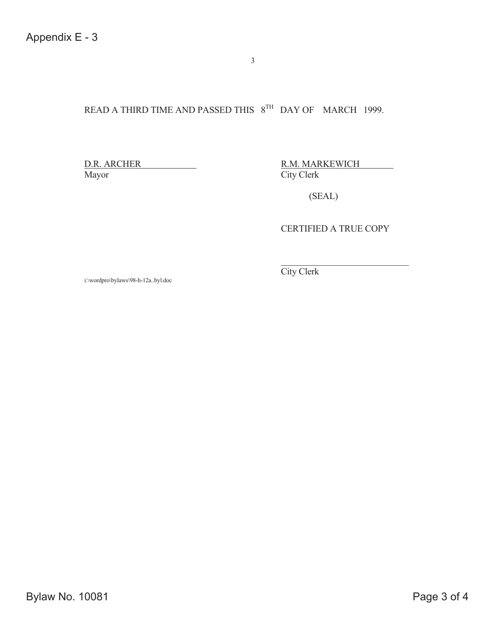# READ A THIRD TIME AND PASSED THIS  $8^{TH}$  DAY OF MARCH 1999.

Mayor City Clerk

D.R. ARCHER R.M. MARKEWICH

(SEAL)

CERTIFIED A TRUE COPY

i:\wordpro\bylaws\98-h-12a..byl.doc

City Clerk

3